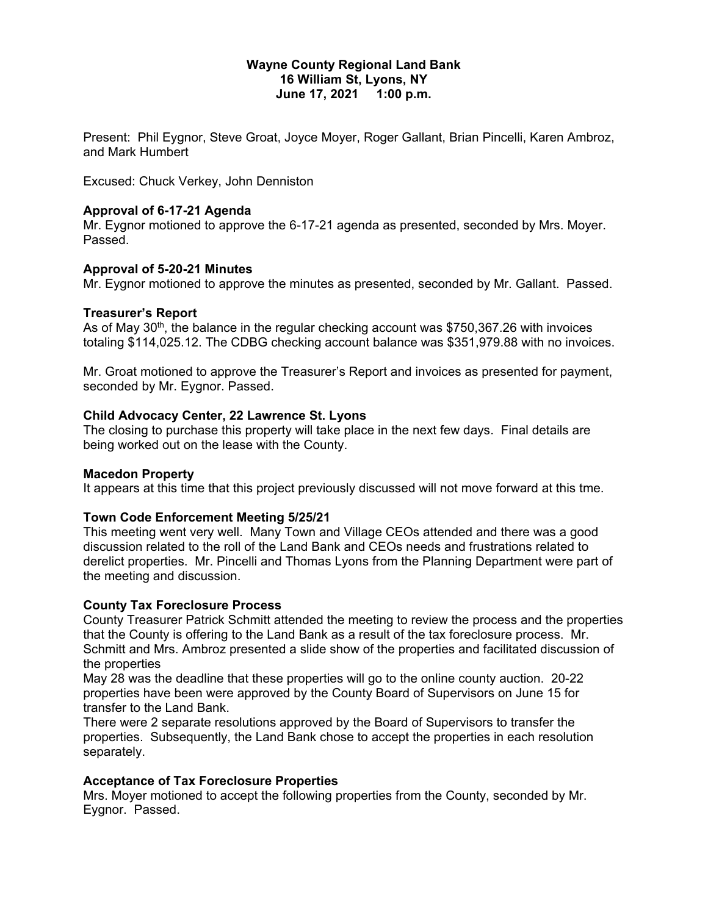## **Wayne County Regional Land Bank 16 William St, Lyons, NY June 17, 2021 1:00 p.m.**

Present: Phil Eygnor, Steve Groat, Joyce Moyer, Roger Gallant, Brian Pincelli, Karen Ambroz, and Mark Humbert

Excused: Chuck Verkey, John Denniston

## **Approval of 6-17-21 Agenda**

Mr. Eygnor motioned to approve the 6-17-21 agenda as presented, seconded by Mrs. Moyer. Passed.

#### **Approval of 5-20-21 Minutes**

Mr. Eygnor motioned to approve the minutes as presented, seconded by Mr. Gallant. Passed.

#### **Treasurer's Report**

As of May  $30<sup>th</sup>$ , the balance in the regular checking account was \$750,367.26 with invoices totaling \$114,025.12. The CDBG checking account balance was \$351,979.88 with no invoices.

Mr. Groat motioned to approve the Treasurer's Report and invoices as presented for payment, seconded by Mr. Eygnor. Passed.

#### **Child Advocacy Center, 22 Lawrence St. Lyons**

The closing to purchase this property will take place in the next few days. Final details are being worked out on the lease with the County.

## **Macedon Property**

It appears at this time that this project previously discussed will not move forward at this tme.

## **Town Code Enforcement Meeting 5/25/21**

This meeting went very well. Many Town and Village CEOs attended and there was a good discussion related to the roll of the Land Bank and CEOs needs and frustrations related to derelict properties. Mr. Pincelli and Thomas Lyons from the Planning Department were part of the meeting and discussion.

## **County Tax Foreclosure Process**

County Treasurer Patrick Schmitt attended the meeting to review the process and the properties that the County is offering to the Land Bank as a result of the tax foreclosure process. Mr. Schmitt and Mrs. Ambroz presented a slide show of the properties and facilitated discussion of the properties

May 28 was the deadline that these properties will go to the online county auction. 20-22 properties have been were approved by the County Board of Supervisors on June 15 for transfer to the Land Bank.

There were 2 separate resolutions approved by the Board of Supervisors to transfer the properties. Subsequently, the Land Bank chose to accept the properties in each resolution separately.

#### **Acceptance of Tax Foreclosure Properties**

Mrs. Moyer motioned to accept the following properties from the County, seconded by Mr. Eygnor. Passed.